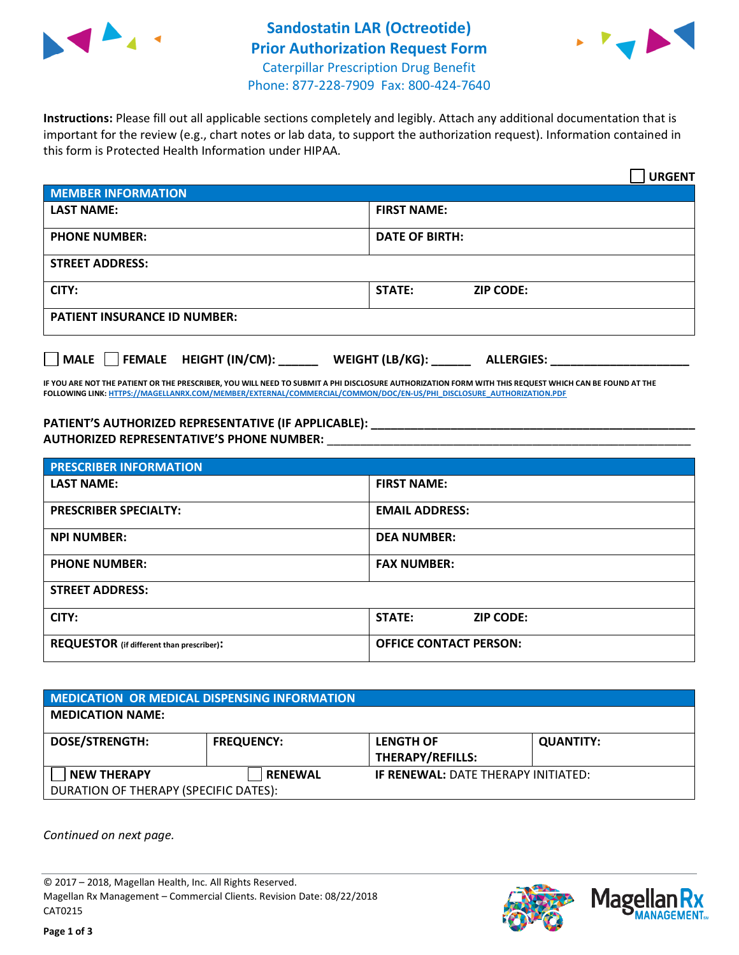



**Instructions:** Please fill out all applicable sections completely and legibly. Attach any additional documentation that is important for the review (e.g., chart notes or lab data, to support the authorization request). Information contained in this form is Protected Health Information under HIPAA.

|                                       | <b>URGENT</b>                        |  |  |  |
|---------------------------------------|--------------------------------------|--|--|--|
| <b>MEMBER INFORMATION</b>             |                                      |  |  |  |
| <b>LAST NAME:</b>                     | <b>FIRST NAME:</b>                   |  |  |  |
| <b>PHONE NUMBER:</b>                  | <b>DATE OF BIRTH:</b>                |  |  |  |
| <b>STREET ADDRESS:</b>                |                                      |  |  |  |
| CITY:                                 | STATE:<br><b>ZIP CODE:</b>           |  |  |  |
| <b>PATIENT INSURANCE ID NUMBER:</b>   |                                      |  |  |  |
| FEMALE HEIGHT (IN/CM):<br><b>MALE</b> | WEIGHT (LB/KG):<br><b>ALLERGIES:</b> |  |  |  |

**IF YOU ARE NOT THE PATIENT OR THE PRESCRIBER, YOU WILL NEED TO SUBMIT A PHI DISCLOSURE AUTHORIZATION FORM WITH THIS REQUEST WHICH CAN BE FOUND AT THE FOLLOWING LINK[: HTTPS://MAGELLANRX.COM/MEMBER/EXTERNAL/COMMERCIAL/COMMON/DOC/EN-US/PHI\\_DISCLOSURE\\_AUTHORIZATION.PDF](https://magellanrx.com/member/external/commercial/common/doc/en-us/PHI_Disclosure_Authorization.pdf)**

**PATIENT'S AUTHORIZED REPRESENTATIVE (IF APPLICABLE): \_\_\_\_\_\_\_\_\_\_\_\_\_\_\_\_\_\_\_\_\_\_\_\_\_\_\_\_\_\_\_\_\_\_\_\_\_\_\_\_\_\_\_\_\_\_\_\_\_ AUTHORIZED REPRESENTATIVE'S PHONE NUMBER:** \_\_\_\_\_\_\_\_\_\_\_\_\_\_\_\_\_\_\_\_\_\_\_\_\_\_\_\_\_\_\_\_\_\_\_\_\_\_\_\_\_\_\_\_\_\_\_\_\_\_\_\_\_\_\_

| <b>PRESCRIBER INFORMATION</b>             |                               |  |  |  |
|-------------------------------------------|-------------------------------|--|--|--|
| <b>LAST NAME:</b>                         | <b>FIRST NAME:</b>            |  |  |  |
| <b>PRESCRIBER SPECIALTY:</b>              | <b>EMAIL ADDRESS:</b>         |  |  |  |
| <b>NPI NUMBER:</b>                        | <b>DEA NUMBER:</b>            |  |  |  |
| <b>PHONE NUMBER:</b>                      | <b>FAX NUMBER:</b>            |  |  |  |
| <b>STREET ADDRESS:</b>                    |                               |  |  |  |
| CITY:                                     | STATE:<br><b>ZIP CODE:</b>    |  |  |  |
| REQUESTOR (if different than prescriber): | <b>OFFICE CONTACT PERSON:</b> |  |  |  |

| <b>MEDICATION OR MEDICAL DISPENSING INFORMATION</b> |                   |                                            |                  |  |  |
|-----------------------------------------------------|-------------------|--------------------------------------------|------------------|--|--|
| <b>MEDICATION NAME:</b>                             |                   |                                            |                  |  |  |
| <b>DOSE/STRENGTH:</b>                               | <b>FREQUENCY:</b> | <b>LENGTH OF</b>                           | <b>QUANTITY:</b> |  |  |
|                                                     |                   | <b>THERAPY/REFILLS:</b>                    |                  |  |  |
| <b>NEW THERAPY</b>                                  | <b>RENEWAL</b>    | <b>IF RENEWAL: DATE THERAPY INITIATED:</b> |                  |  |  |
| DURATION OF THERAPY (SPECIFIC DATES):               |                   |                                            |                  |  |  |

*Continued on next page.*

© 2017 – 2018, Magellan Health, Inc. All Rights Reserved. Magellan Rx Management – Commercial Clients. Revision Date: 08/22/2018 CAT0215



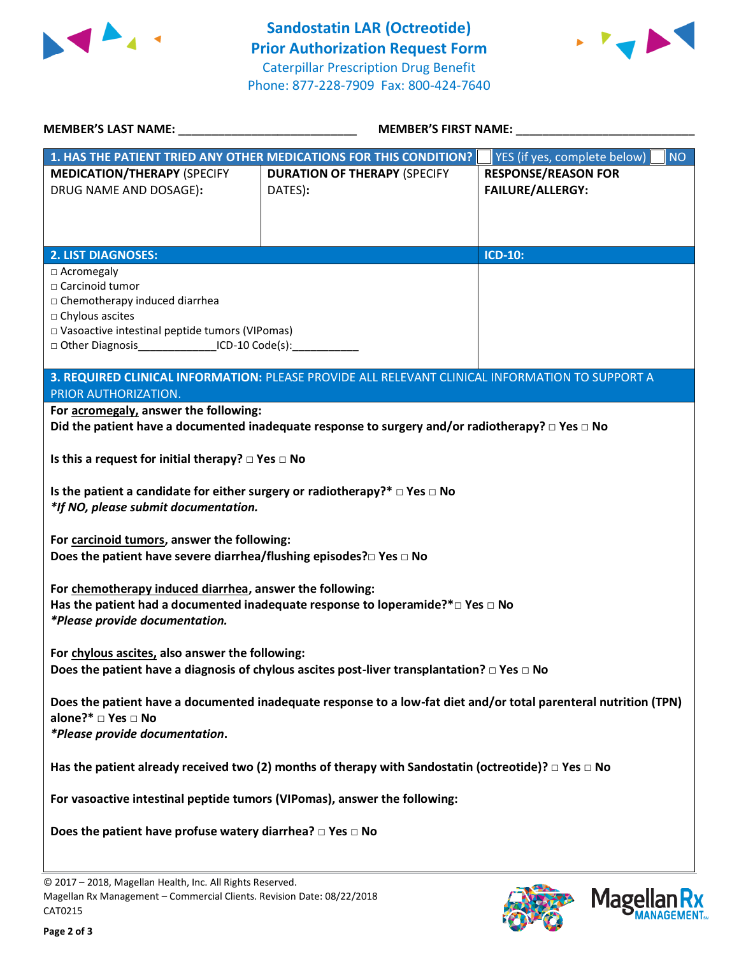



| <b>MEMBER'S LAST NAME:</b>                                                                                                                                                                                                       | <b>MEMBER'S FIRST NAME:</b>                                                                                |                                                       |  |  |
|----------------------------------------------------------------------------------------------------------------------------------------------------------------------------------------------------------------------------------|------------------------------------------------------------------------------------------------------------|-------------------------------------------------------|--|--|
|                                                                                                                                                                                                                                  | 1. HAS THE PATIENT TRIED ANY OTHER MEDICATIONS FOR THIS CONDITION?                                         | YES (if yes, complete below)<br><b>NO</b>             |  |  |
| <b>MEDICATION/THERAPY (SPECIFY</b><br>DRUG NAME AND DOSAGE):                                                                                                                                                                     | <b>DURATION OF THERAPY (SPECIFY</b><br>DATES):                                                             | <b>RESPONSE/REASON FOR</b><br><b>FAILURE/ALLERGY:</b> |  |  |
| <b>2. LIST DIAGNOSES:</b>                                                                                                                                                                                                        |                                                                                                            | <b>ICD-10:</b>                                        |  |  |
| □ Acromegaly<br>□ Carcinoid tumor<br>□ Chemotherapy induced diarrhea<br>□ Chylous ascites<br>□ Vasoactive intestinal peptide tumors (VIPomas)<br>□ Other Diagnosis__________________ICD-10 Code(s):_____________________________ |                                                                                                            |                                                       |  |  |
| 3. REQUIRED CLINICAL INFORMATION: PLEASE PROVIDE ALL RELEVANT CLINICAL INFORMATION TO SUPPORT A                                                                                                                                  |                                                                                                            |                                                       |  |  |
| PRIOR AUTHORIZATION.<br>For acromegaly, answer the following:                                                                                                                                                                    |                                                                                                            |                                                       |  |  |
|                                                                                                                                                                                                                                  | Did the patient have a documented inadequate response to surgery and/or radiotherapy? $\Box$ Yes $\Box$ No |                                                       |  |  |
| Is this a request for initial therapy? $\Box$ Yes $\Box$ No                                                                                                                                                                      |                                                                                                            |                                                       |  |  |
| Is the patient a candidate for either surgery or radiotherapy?* $\Box$ Yes $\Box$ No<br>*If NO, please submit documentation.                                                                                                     |                                                                                                            |                                                       |  |  |
| For carcinoid tumors, answer the following:<br>Does the patient have severe diarrhea/flushing episodes?□ Yes □ No                                                                                                                |                                                                                                            |                                                       |  |  |
| For chemotherapy induced diarrhea, answer the following:<br>Has the patient had a documented inadequate response to loperamide?* $\square$ Yes $\square$ No<br>*Please provide documentation.                                    |                                                                                                            |                                                       |  |  |
| For chylous ascites, also answer the following:<br>Does the patient have a diagnosis of chylous ascites post-liver transplantation? $\square$ Yes $\square$ No                                                                   |                                                                                                            |                                                       |  |  |
| Does the patient have a documented inadequate response to a low-fat diet and/or total parenteral nutrition (TPN)<br>alone?* □ Yes □ No<br>*Please provide documentation.                                                         |                                                                                                            |                                                       |  |  |
| Has the patient already received two (2) months of therapy with Sandostatin (octreotide)? $\Box$ Yes $\Box$ No                                                                                                                   |                                                                                                            |                                                       |  |  |
| For vasoactive intestinal peptide tumors (VIPomas), answer the following:                                                                                                                                                        |                                                                                                            |                                                       |  |  |
| Does the patient have profuse watery diarrhea? $\square$ Yes $\square$ No                                                                                                                                                        |                                                                                                            |                                                       |  |  |
|                                                                                                                                                                                                                                  |                                                                                                            |                                                       |  |  |

© 2017 – 2018, Magellan Health, Inc. All Rights Reserved. Magellan Rx Management – Commercial Clients. Revision Date: 08/22/2018 CAT0215